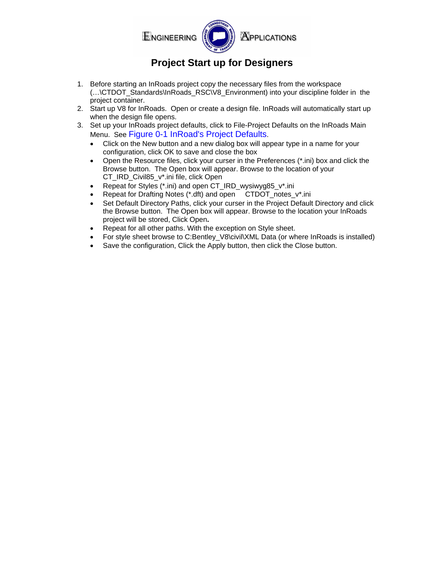

## **Project Start up for Designers**

- 1. Before starting an InRoads project copy the necessary files from the workspace (…\CTDOT\_Standards\InRoads\_RSC\V8\_Environment) into your discipline folder in the project container.
- 2. Start up V8 for InRoads. Open or create a design file. InRoads will automatically start up when the design file opens.
- 3. Set up your InRoads project defaults, click to File-Project Defaults on the InRoads Main Menu. See [Figure 0-1 InRoad's Project Defaults.](#page-1-0)
	- Click on the New button and a new dialog box will appear type in a name for your configuration, click OK to save and close the box
	- Open the Resource files, click your curser in the Preferences (\*.ini) box and click the Browse button. The Open box will appear. Browse to the location of your CT\_IRD\_Civil85\_v\*.ini file, click Open
	- Repeat for Styles (\*.ini) and open CT\_IRD\_wysiwyg85\_v\*.ini
	- Repeat for Drafting Notes (\*.dft) and open CTDOT notes v\*.ini
	- Set Default Directory Paths, click your curser in the Project Default Directory and click the Browse button. The Open box will appear. Browse to the location your InRoads project will be stored, Click Open**.**
	- Repeat for all other paths. With the exception on Style sheet.
	- For style sheet browse to C:Bentley\_V8\civil\XML Data (or where InRoads is installed)
	- Save the configuration, Click the Apply button, then click the Close button.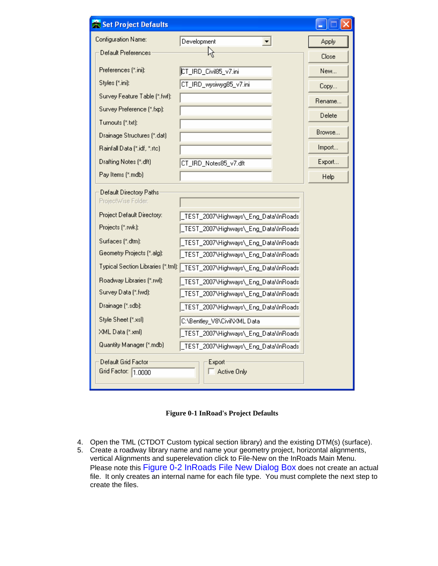| Set Project Defaults                       |                                       |        |  |  |
|--------------------------------------------|---------------------------------------|--------|--|--|
| Configuration Name:                        | Development                           | Apply  |  |  |
| Default Preferences                        | Ķ                                     | Close  |  |  |
| Preferences (*.ini):                       | CT_IRD_Civil85_v7.ini                 | New    |  |  |
| Styles (*.ini):                            | CT_IRD_wysiwyg85_v7.ini               | Copy   |  |  |
| Survey Feature Table [*.fwf]:              |                                       | Rename |  |  |
| Survey Preference (*.fxp):                 |                                       | Delete |  |  |
| Turnouts (*.txt):                          |                                       |        |  |  |
| Drainage Structures (*.dat)                |                                       | Browse |  |  |
| Rainfall Data (*.idf, *.rtc)               |                                       | Import |  |  |
| Drafting Notes (*.dft)                     | CT_IRD_Notes85_v7.dft                 | Export |  |  |
| Pay Items (*.mdb)                          |                                       | Help   |  |  |
| Default Directory Paths                    |                                       |        |  |  |
| ProjectWise Folder:                        |                                       |        |  |  |
| Project Default Directory:                 | TEST_2007\Highways\_Eng_Data\InRoads  |        |  |  |
| Projects (*.rwk):                          | TEST_2007\Highways\_Eng_Data\InRoads  |        |  |  |
| Surfaces (".dtm):                          | TEST_2007\Highways\_Eng_Data\InRoads  |        |  |  |
| Geometry Projects (*.alg):                 | TEST_2007\Highways\_Eng_Data\InRoads  |        |  |  |
| Typical Section Libraries (*.tml):         | TEST_2007\Highways\_Eng_Data\InRoads  |        |  |  |
| Roadway Libraries (*.rwl):                 | TEST_2007\Highways\_Eng_Data\InRoads  |        |  |  |
| Survey Data (*.fwd):                       | TEST_2007\Highways\_Eng_Data\InRoads  |        |  |  |
| Drainage (*.sdb):                          | TEST_2007\Highways\_Eng_Data\InRoads  |        |  |  |
| Style Sheet [*.xsl]                        | C:\Bentley_V8\Civil\XML Data          |        |  |  |
| XML Data (*.xml)                           | TEST_2007\Highways\_Eng_Data\InRoads  |        |  |  |
| Quantity Manager [*.mdb]                   | _TEST_2007\Highways\_Eng_Data\InRoads |        |  |  |
| Default Grid Factor<br>Grid Factor: 1.0000 | Export-<br>Active Only                |        |  |  |

**Figure 0-1 InRoad's Project Defaults** 

- <span id="page-1-0"></span>4. Open the TML (CTDOT Custom typical section library) and the existing DTM(s) (surface).
- 5. Create a roadway library name and name your geometry project, horizontal alignments, vertical Alignments and superelevation click to File-New on the InRoads Main Menu. Please note this [Figure 0-2 InRoads File New Dialog Box](#page-2-0) does not create an actual file. It only creates an internal name for each file type. You must complete the next step to create the files.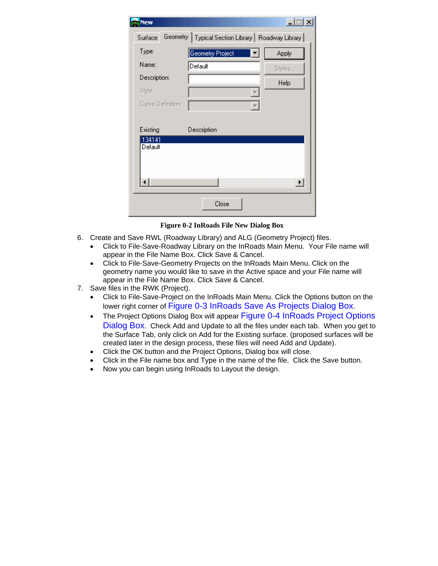| <b>New</b>        |                                                      | $-1$<br>$\boldsymbol{\mathsf{x}}$ |
|-------------------|------------------------------------------------------|-----------------------------------|
| Surface           | Geometry   Typical Section Library   Roadway Library |                                   |
| Type:             | Geometry Project                                     | Apply                             |
| Name:             | Default                                              | Styles                            |
| Description:      |                                                      | Help                              |
| Style:            |                                                      |                                   |
| Curve Definition: |                                                      |                                   |
|                   |                                                      |                                   |
| Existing          | Description                                          |                                   |
| 134141<br>Default |                                                      | $\blacktriangleright$             |
|                   | Close                                                |                                   |

**Figure 0-2 InRoads File New Dialog Box** 

- <span id="page-2-0"></span>6. Create and Save RWL (Roadway Library) and ALG (Geometry Project) files.
	- Click to File-Save-Roadway Library on the InRoads Main Menu. Your File name will appear in the File Name Box. Click Save & Cancel.
	- Click to File-Save-Geometry Projects on the InRoads Main Menu. Click on the geometry name you would like to save in the Active space and your File name will appear in the File Name Box. Click Save & Cancel.
- 7. Save files in the RWK (Project).
	- Click to File-Save-Project on the InRoads Main Menu. Click the Options button on the lower right corner of [Figure 0-3 InRoads Save As Projects Dialog Box.](#page-3-0)
	- The Project Options Dialog Box will appear Figure 0-4 In Roads Project Options [Dialog Box](#page-3-1). Check Add and Update to all the files under each tab. When you get to the Surface Tab, only click on Add for the Existing surface. (proposed surfaces will be created later in the design process, these files will need Add and Update).
	- Click the OK button and the Project Options, Dialog box will close.
	- Click in the File name box and Type in the name of the file. Click the Save button.
	- Now you can begin using InRoads to Layout the design.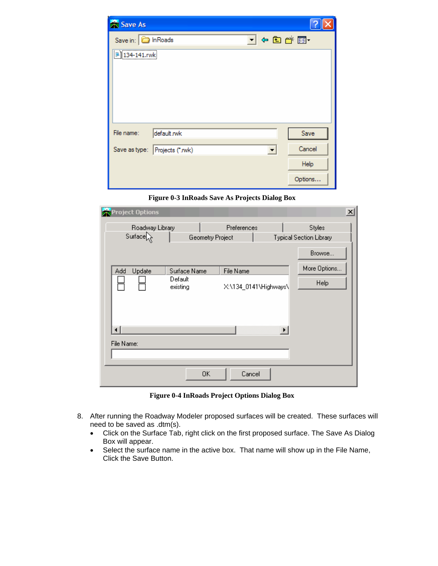| Save As                    |                                                            |         |
|----------------------------|------------------------------------------------------------|---------|
| Save in: <b>D</b> In Roads | $\blacktriangledown$ + b a* $\boxdot$ +                    |         |
| $\frac{1}{2}$ 134-141.rwk  |                                                            |         |
|                            |                                                            |         |
|                            |                                                            |         |
|                            |                                                            |         |
|                            |                                                            |         |
| File name:                 | default.rwk                                                | Save    |
|                            | Save as type: Projects (*.rwk)<br>$\overline{\phantom{a}}$ | Cancel  |
|                            |                                                            | Help    |
|                            |                                                            | Options |

**Figure 0-3 InRoads Save As Projects Dialog Box**

<span id="page-3-0"></span>

| <b>Project Options</b>        |                  |                       | $\mathbf{x}$                   |
|-------------------------------|------------------|-----------------------|--------------------------------|
| Roadway Library               | Preferences      |                       | Styles                         |
| Surface                       | Geometry Project |                       | <b>Typical Section Library</b> |
|                               |                  |                       | Browse                         |
| Add<br>Update<br>Surface Name | File Name        |                       | More Options                   |
| Default<br>existing           |                  | X:\134_0141\Highways\ | <b>Help</b>                    |
| File Name:                    |                  | $\blacktriangleright$ |                                |
|                               | 0K<br>Cancel     |                       |                                |

**Figure 0-4 InRoads Project Options Dialog Box**

- <span id="page-3-1"></span>8. After running the Roadway Modeler proposed surfaces will be created. These surfaces will need to be saved as .dtm(s).
	- Click on the Surface Tab, right click on the first proposed surface. The Save As Dialog Box will appear.
	- Select the surface name in the active box. That name will show up in the File Name, Click the Save Button.